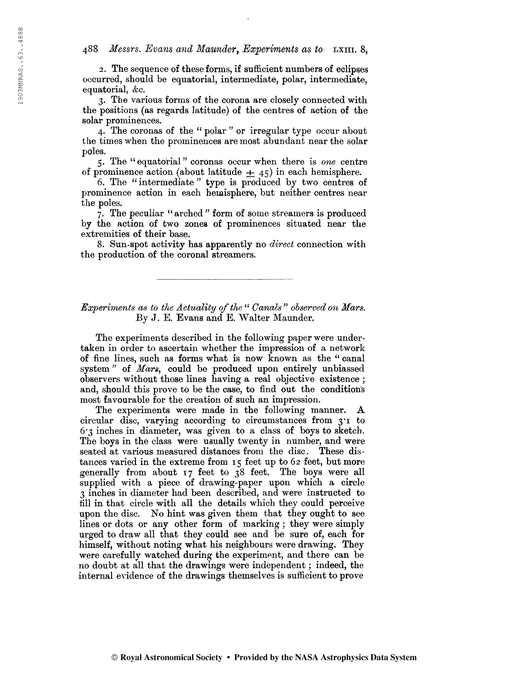2. The sequence of these forms, if sufficient numbers of eclipses occurred, should be equatorial, intermediate, polar, intermediate, equatorial, &c.

3. The various forms of the corona are closely connected with the positions (as regards latitude) of the centres of action of the solar prominences.

4. The coronas of the " polar " or irregular type occur about the times when the prominences are most abundant near the solar poles.

5. The "equatorial" coronas occur when there is one centre of prominence action (about latitude  $\pm$  45) in each hemisphere.

6. The " intermediate " type is produced by two centres of prominence action in each hemisphere, but neither centres near the poles.

7. The peculiar "arched" form of some streamers is produced by the action of two zones of prominences situated near the extremities of their base.

8. Sun-spot activity has apparently no direct connection with the production of the coronal streamers.

### Experiments as to the Actuality of the "Canals" observed on Mars. By J. E. Evans and E. Walter Maunder.

The experiments described in the following paper were undertaken in order to ascertain whether the impression of a network of fine lines, such as forms what is now known as the " canal system" of *Mars*, could be produced upon entirely unbiassed observers without those lines having a real objective existence ; and, should this prove to be the case, to find out the conditions most favourable for the creation of such an impression.

The experiments were made in the following manner. A circular disc, varying according to circumstances from 3\*1 to 6\*3 inches in diameter, was given to a class of boys to sketch. The boys in the class were usually twenty in number, and were seated at various measured distances from the disc. These distances varied in the extreme from 15 feet up to 62 feet, but more generally from about 17 feet to 38 feet, The boys were all supplied with a piece of drawing-paper upon which a circle 3 inches in diameter had been described, and were instructed to fill in that circle with all the details which they could perceive upon the disc. No hint was given them that they ought to see lines or dots or any other form of marking ; they were simply urged to draw all that they could see and be sure of, each for himself, without noting what his neighbours were drawing. They were carefully watched during the experiment, and there can be no doubt at all that the drawings were independent ; indeed, the internal evidence of the drawings themselves is sufficient to prove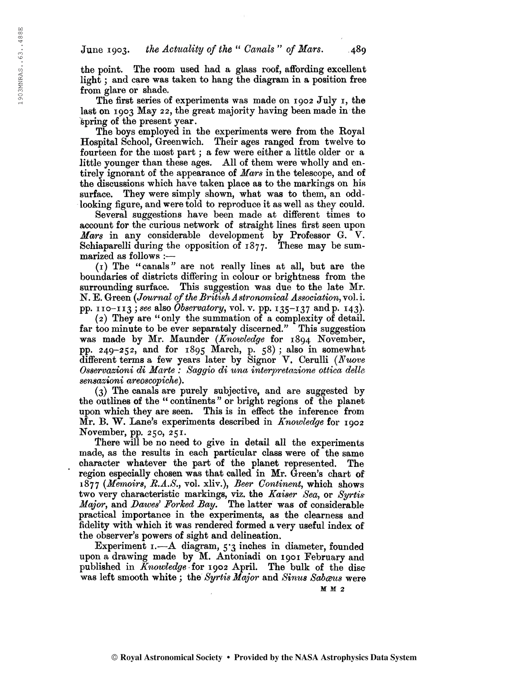the point. The room used had a glass roof, affording excellent light ; and care was taken to hang the diagram in a position free from glare or shade.

The first series of experiments was made on 1902 July 1, the last on 1903 May 22, the great majority having been made in the spring of the present year.

The boys employed in the experiments were from the Royal Hospital School, Greenwich. Their ages ranged from twelve to fourteen for the most part ; a few were either a little older or a little younger than these ages. All of them were wholly and entirely ignorant of the appearance of *Mars* in the telescope, and of the discussions which have taken place as to the markings on his surface. They were simply shown, what was to them, an oddlooking figure, and were told to reproduce it as well as they could.

Several suggestions have been made at different times to account for the curious network of straight lines first seen upon Mars in any considerable development by Professor G. V. Schiaparelli during the opposition of 1877. These may be summarized as follows :—

(1) The "canals" are not really lines at all, but are the boundaries of districts differing in colour or brightness from the surrounding surface. This suggestion was due to the late Mr. N. E. Green (Journal of the British Astronomical Association, vol. i. pp.  $110-113$ ; see also *Observatory*, vol. v. pp.  $135-137$  and p.  $143$ ).

(2) They are "only the summation of a complexity of detail, far too minute to be ever separately discerned." This suggestion was made by Mr. Maunder {Knowledge for 1894 November, pp. 249-252, and for 1895 March, p. 58) ; also in somewhat different terms a few years later by Signor V. Cerulli {Nuove Osservazioni di Marte : Saggio di una interpretazione ottica della sensazioni areoscopiche).

(3) The canals are purely subjective, and are suggested by the outlines of the " continents " or bright regions of the planet upon which they are seen. This is in effect the inference from Mr. B. W. Lane's experiments described in Knowledge for 1902 November, pp. 250, 251.

There will be no need to give in detail all the experiments made, as the results in each particular class were of the same character whatever the part of the planet represented. The region especially chosen was that called in Mr. Green's chart of 1877 (Memoirs, R.A.S., vol. xliv.), Beer Continent, which shows two very characteristic markings, viz. the Kaiser Sea, or Syrtis Major, and Dawes' Forked Bay, The latter was of considerable practical importance in the experiments, as the clearness and fidelity with which it was rendered formed a very useful index of the observer's powers of sight and delineation.

Experiment  $I.-A$  diagram,  $5.3$  inches in diameter, founded upon a drawing made by M. Antoniadi on 1901 February and published in *Knowledge* for 1902 April. The bulk of the disc was left smooth white; the Syrtis Major and Sinus Sabœus were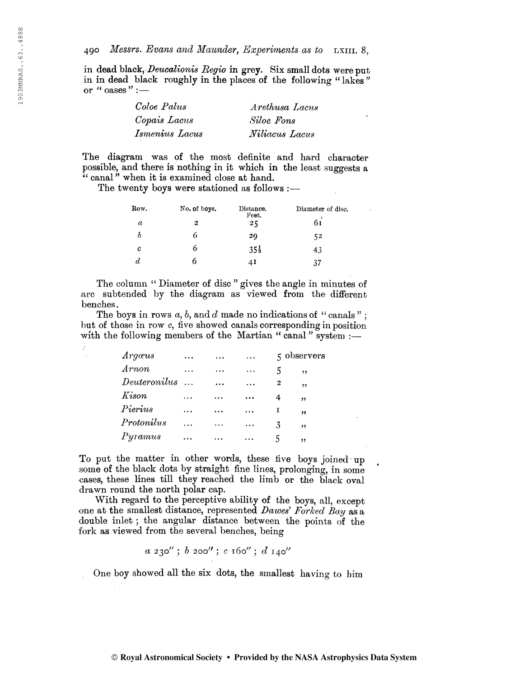in dead black, *Deucalionis Regio* in grey. Six small dots were put in in dead black roughly in the places of the following " lakes " or " oases " :-

| Coloe Palus             | Arethusa Lacus |
|-------------------------|----------------|
| Copais Lacus            | Siloe Fons     |
| $\emph{Ismenius Lacus}$ | Niliacus Lacus |

The diagram was of the most definite and hard character possible, and there is nothing in it which in the least suggests a " canal " when it is examined close at hand.

The twenty boys were stationed as follows :—

| Row.             | No. of boys. | Distance.<br>Feet. | Diameter of disc. |
|------------------|--------------|--------------------|-------------------|
| $\boldsymbol{a}$ | 2            | 25                 | 61                |
| Ъ                | 6            | 29                 | 52                |
| C                | 6            | $35\frac{1}{2}$    | 43                |
| d                | n            | 41                 | 37                |

The column " Diameter of disc" gives the angle in minutes of arc subtended by the diagram as viewed from the different benches.

The boys in rows  $a, b$ , and  $d$  made no indications of "canals"; but of those in row c, five showed canals corresponding in position with the following members of the Martian "canal" system :-

| Argæus          | $\cdots$ | $\ddot{\phantom{a}}$ | $\cdots$ |   | $5$ observers |
|-----------------|----------|----------------------|----------|---|---------------|
| Arnon           | .        | .                    | $\cdots$ | 5 | ,,            |
| Deuteronilus    |          | $\cdots$             | .        | 2 | ,,            |
| $K$ <i>ison</i> | $\cdots$ | $\cdots$             |          | 4 | , ,           |
| Pierius         | .        | $\cdots$             | $\cdots$ |   | ,,            |
| Protonilus      | .        | $\ddotsc$            | $\cdots$ | 3 | ,,            |
| Pyramus         |          |                      |          | 5 | ,,            |

To put the matter in other words, these five boys joined up some of the black dots by straight fine lines, prolonging, in some eases, these lines till they reached the limb or the black oval drawn round the north polar cap.

With regard to the perceptive ability of the boys, all, except one at the smallest distance, represented Dawes' Forked Bay as a double inlet ; the angular distance between the points of the fork as viewed from the several benches, being

 $a$  230";  $b$  200";  $c$  160";  $d$  140"

One boy showed all the six dots, the smallest having to him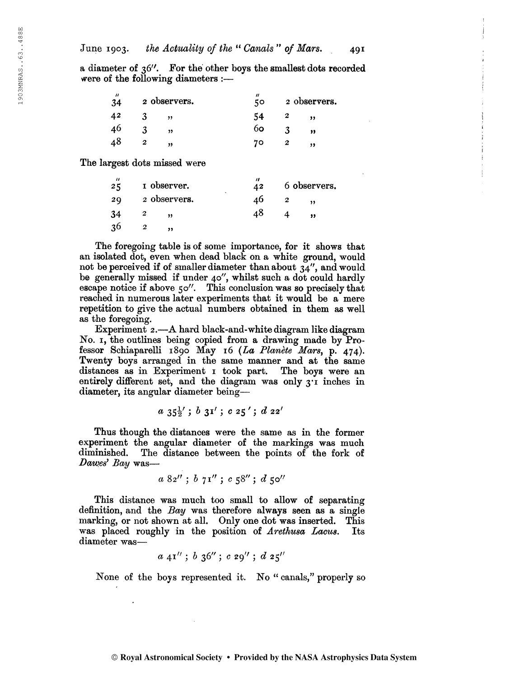a diameter of 36". For the other boys the smallest dots recorded were of the following diameters :—

| $^{\prime\prime}$<br>34 | 2 observers. | "<br>5 <sup>o</sup> |   | 2 observers. |
|-------------------------|--------------|---------------------|---|--------------|
| 42                      | "            | 54                  |   | ,,           |
| 40                      | "            | 60                  |   | ,,           |
| л8                      | "            | 70                  | 2 | ,,           |

The largest dots missed were

 $\ddot{\phantom{a}}$ 

| $^{\prime\prime}$<br>25 | I observer.  | "<br>42<br>٠ |   | 6 observers. |
|-------------------------|--------------|--------------|---|--------------|
| 29                      | 2 observers. | 40           | 2 | ,,           |
| 34                      | ,,           | 48           |   | ,,           |
| 36                      |              |              |   |              |

The foregoing table is of some importance, for it shows that an isolated dot, even when dead black on a white ground, would not be perceived if of smaller diameter than about 34'', and would be generally missed if under 40", whilst such a dot could hardly escape notice if above 50". This conclusion was so precisely that reached in numerous later experiments that it would be a mere repetition to give the actual numbers obtained in them as well as the foregoing.

Experiment 2.—A hard black-and-white diagram like diagram No. i, the outlines being copied from a drawing made by Professor Schiaparelli 1890 May 16 (La Planète Mars, p. 474). Twenty boys arranged in the same manner and at the same distances as in Experiment <sup>1</sup> took part. The boys were an entirely different set, and the diagram was only 3.1 inches in diameter, its angular diameter being—

$$
a\; 35^{\frac{1}{2}'}\,;\;b\; 31'\;;\;c\; 25'\,;\;d\; 22'
$$

Thus though the distances were the same as in the former experiment the angular diameter of the markings was much diminished. The distance between the points of the fork of The distance between the points of the fork of Dawes' Bay was—

$$
a\;8z''\; ;\; b\;71''\; ;\; c\;58''\; ;\; d\;50''
$$

This distance was much too small to allow of separating definition, and the  $Bay$  was therefore always seen as a single marking, or not shown at all. Only one dot was inserted. This was placed roughly in the position of Arethusa Lacus. Its diameter was—

$$
a \, 41'' \, ; \, b \, 36'' \, ; \, c \, 29'' \, ; \, d \, 25''
$$

None of the boys represented it. No " canals," properly so

#### © Royal Astronomical Society • Provided by the NASA Astrophysics Data System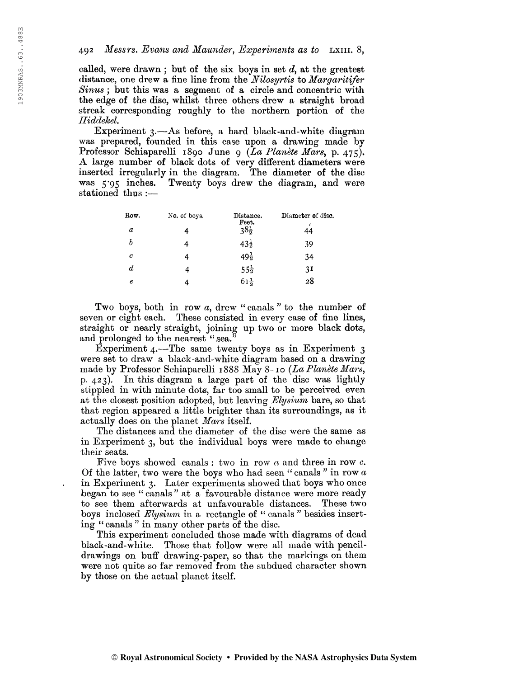called, were drawn; but of the six boys in set  $d$ , at the greatest distance, one drew a fine line from the Nilosyrtis to Margaritifer Sinus ; but this was a segment of a circle and concentric with the edge of the disc, whilst three others drew a straight broad streak corresponding roughly to the northern portion of the Hiddekel.

Experiment 3.—As before, a hard black-and-white diagram was prepared, founded in this case upon a drawing made by Professor Schiaparelli 1890 June 9 (La Planète Mars, p. 475). A large number of black dots of very different diameters were inserted irregularly in the diagram. The diameter of the disc was 5.95 inches. Twenty boys drew the diagram, and were Twenty boys drew the diagram, and were stationed thus :—

| Row.             | No. of boys. | Distance.<br>Feet. | Diameter of disc. |
|------------------|--------------|--------------------|-------------------|
| a                |              | $38\frac{1}{2}$    | 44                |
| b                | 4            | $43\frac{1}{2}$    | 39                |
| $\boldsymbol{c}$ | 4            | $49\frac{1}{2}$    | 34                |
| d                | 4            | $55\frac{1}{2}$    | 3 <sup>1</sup>    |
| e                |              | $61\frac{1}{2}$    | 28                |

Two boys, both in row a, drew "canals" to the number of seven or eight each. These consisted in every case of fine lines, straight or nearly straight, joining up two or more black dots, and prolonged to the nearest "sea."

Experiment 4.—The same twenty boys as in Experiment 3 were set to draw a black-and-white diagram based on a drawing made by Professor Schiaparelli 1888 May 8-10 (La Planète Mars, p. 423). In this diagram a large part of the disc was lightly stippled in with minute dots, far too small to be perceived even at the closest position adopted, but leaving *Elysium* bare, so that that region appeared a little brighter than its surroundings, as it actually does on the planet Mars itself.

The distances and the diameter of the disc were the same as in Experiment 3, but the individual boys were made to change their seats.

Five boys showed canals: two in row  $a$  and three in row  $c$ . Of the latter, two were the boys who had seen "canals" in row  $a$ in Experiment 3. Later experiments showed that boys who once began to see " canals " at a favourable distance were more ready to see them afterwards at unfavourable distances. These two boys inclosed *Elysium* in a rectangle of " canals " besides inserting " canals " in many other parts of the disc.

This experiment concluded those made with diagrams of dead black-and-white. Those that follow were all made with pencildrawings on buff drawing-paper, so that the markings on them were not quite so far removed from the subdued character shown by those on the actual planet itself.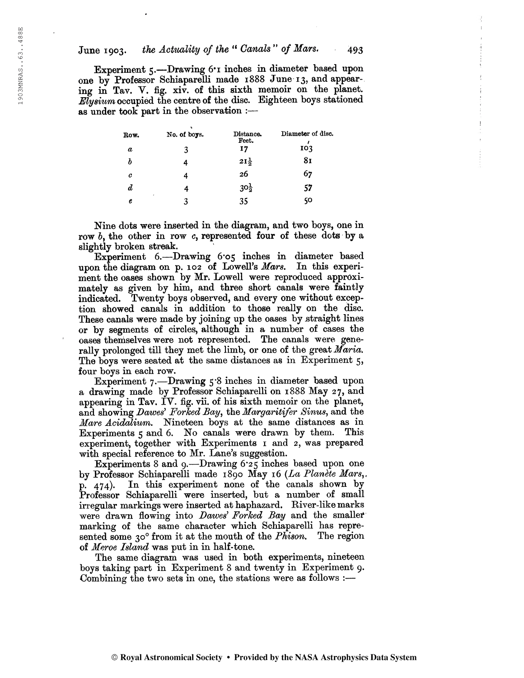Experiment 5.—Drawing 6\*i inches in diameter based upon one by Professor Schiaparelli made 1888 June 13, and appearing in Tav. V. fig. xiv. of this sixth memoir on the planet. Elysium occupied the centre of the disc. Eighteen boys stationed as under took part in the observation :—

| Row.             | No. of boys. | Distance.<br>Feet. | Diameter of disc. |
|------------------|--------------|--------------------|-------------------|
| $\boldsymbol{a}$ | 3            | 17                 | 103               |
| Ъ                | 4            | $2I_2^1$           | 81                |
| c                |              | 26                 | 67                |
| d                |              | $30\frac{1}{2}$    | 57                |
| e                | ٠            | 35                 | 50                |

Nine dots were inserted in the diagram, and two boys, one in row b, the other in row c, represented four of these dots by a slightly broken streak.

Experiment 6.—Drawing 6\*05 inches in diameter based upon the diagram on p. 102 of Lowell's Mars. In this experiment the oases shown by Mr. Lowell were reproduced approximately as given by him, and three short canals were faintly indicated. Twenty boys observed, and every one without exception showed canals in addition to those really on the disc. These canals were made by joining up the oases by straight lines or by segments of circles, although in a number of cases the oases themselves were not represented. The canals were generally prolonged till they met the limb, or one of the great Maria. The boys were seated at the same distances as in Experiment 5, four boys in each row.

Experiment 7.—Drawing 5.8 inches in diameter based upon a drawing made by Professor Schiaparelli on 1888 May 27, and appearing in Tav. IV. fig. vii. of his sixth memoir on the planet, and showing Dawes' Forked Bay, the Margaritifer Sinus, and the *Mare Acidalium.* Nineteen boys at the same distances as in Experiments  $\epsilon$  and 6. No canals were drawn by them. This Experiments  $5$  and  $6$ . No canals were drawn by them. experiment, together with Experiments <sup>1</sup> and 2, was prepared with special reference to Mr. Lane's suggestion.

Experiments 8 and 9.—Drawing 6\*25 inches based upon one by Professor Schiaparelli made 1890 May 16  $(La$  Planète Mars,. p. 474). In this experiment none of the canals shown by Professor Schiaparelli were inserted, but a number of small irregular markings were inserted at haphazard. River-like marks were drawn flowing into *Dawes' Forked Bay* and the smaller marking of the same character which Schiaparelli has represented some  $30^{\circ}$  from it at the mouth of the *Phison*. The region sented some  $30^{\circ}$  from it at the mouth of the *Phison*. The region of Meroe Island was put in in half-tone.

The same diagram was used in both experiments, nineteen boys taking part in Experiment 8 and twenty in Experiment 9. Combining the two sets in one, the stations were as follows :—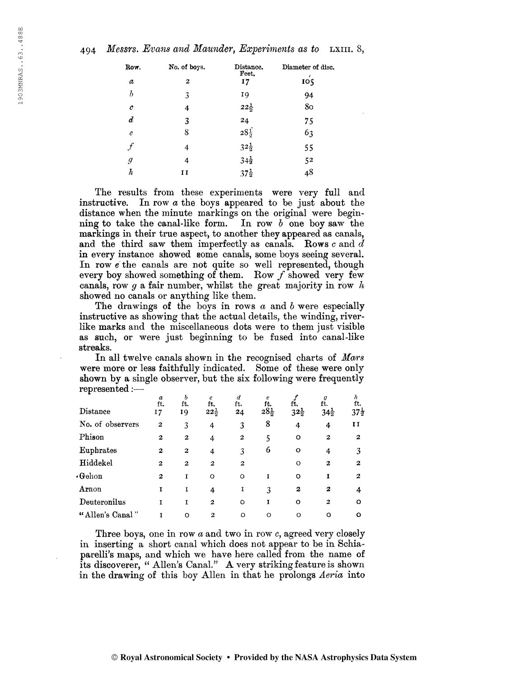## $494$  Messrs. Evans and Maunder, Experiments as to LXIII. 8,

| Row.             | No. of boys.     | Distance.<br>Feet. | Diameter of disc. |
|------------------|------------------|--------------------|-------------------|
| $\boldsymbol{a}$ | $\boldsymbol{z}$ | 17                 | 105               |
| Ъ                | 3                | 19                 | 94                |
| c                | 4                | $22\frac{1}{2}$    | 80                |
| $\boldsymbol{d}$ | 3                | 24                 | 75                |
| $\boldsymbol{e}$ | 8                | $28\frac{1}{2}$    | 63                |
|                  | 4                | $32\frac{1}{2}$    | 55                |
| $\mathcal{G}$    | 4                | $34\frac{1}{2}$    | 52                |
| $\boldsymbol{h}$ | 11               | $37\frac{1}{2}$    | 48                |

The results from these experiments were very full and instructive. In row a the boys appeared to be just about the distance when the minute markings on the original were beginning to take the canal-like form. In row  $b$  one boy saw the markings in their true aspect, to another they appeared as canals, and the third saw them imperfectly as canals. Rows  $c$  and  $d$ in every instance showed some canals, some boys seeing several. In row e the canals are not quite so well represented, though every boy showed something of them. Row  $f$  showed very few canals, row g a fair number, whilst the great majority in row  $h$ showed no canals or anything like them.

The drawings of the boys in rows  $a$  and  $b$  were especially instructive as showing that the actual details, the winding, riverlike marks and the miscellaneous dots were to them just visible as such, or were just beginning to be fused into canal-like streaks.

In all twelve canals shown in the recognised charts of Mars were more or less faithfully indicated. Some of these were only shown by a single observer, but the six following were frequently represented :—

| $represeuea :=$            |                |                         |                  |              |                 |                 |                         |                 |
|----------------------------|----------------|-------------------------|------------------|--------------|-----------------|-----------------|-------------------------|-----------------|
|                            | a<br>ft.       | $\boldsymbol{b}$<br>ft. | c<br>ft.         | d<br>ft.     | e<br>ft.        | ft.             | $\boldsymbol{g}$<br>ft. | ħ<br>ft.        |
| Distance                   | 17             | 19                      | $22\frac{1}{2}$  | 24           | $28\frac{1}{2}$ | $32\frac{1}{2}$ | $34\frac{1}{2}$         | $37\frac{1}{2}$ |
| No. of observers           | $\overline{2}$ | 3                       | $\overline{4}$   | 3            | 8               | 4               | 4                       | $\mathbf{I}$    |
| Phison                     | $\overline{2}$ | $\boldsymbol{2}$        | 4                | $\mathbf{2}$ | 5               | o               | $\boldsymbol{2}$        | $\mathbf{2}$    |
| Euphrates                  | $\mathbf{2}$   | $\overline{\mathbf{c}}$ | $\overline{4}$   | 3            | 6               | O               | 4                       | 3               |
| Hiddekel                   | $\mathbf{2}$   | $\boldsymbol{2}$        | $\mathbf{2}$     | $\mathbf{z}$ |                 | $\Omega$        | $\mathbf{z}$            | $\mathbf{z}$    |
| $\boldsymbol{\cdot}$ Gehon | $\mathbf{z}$   | 1                       | $\circ$          | $\circ$      | I               | O               | Ĩ                       | 2               |
| Arnon                      | Ţ              | 1                       | 4                | 1            | 3               | $\mathbf{z}$    | $\boldsymbol{2}$        | 4               |
| Deuteronilus               | I              | 1                       | $\mathbf{2}$     | O            | I               | $\Omega$        | $\mathbf{z}$            | ο               |
| "Allen's Canal"            | I              | $\circ$                 | $\boldsymbol{2}$ | O            | O               | $\circ$         | O                       | Ω               |
|                            |                |                         |                  |              |                 |                 |                         |                 |

Three boys, one in row a and two in row c, agreed very closely in inserting a short canal which does not appear to be in Schiaparelli's maps, and which we have here called from the name of its discoverer, " Allen's Canal." A very striking feature is shown in the drawing of this boy Allen in that he prolongs Aeria into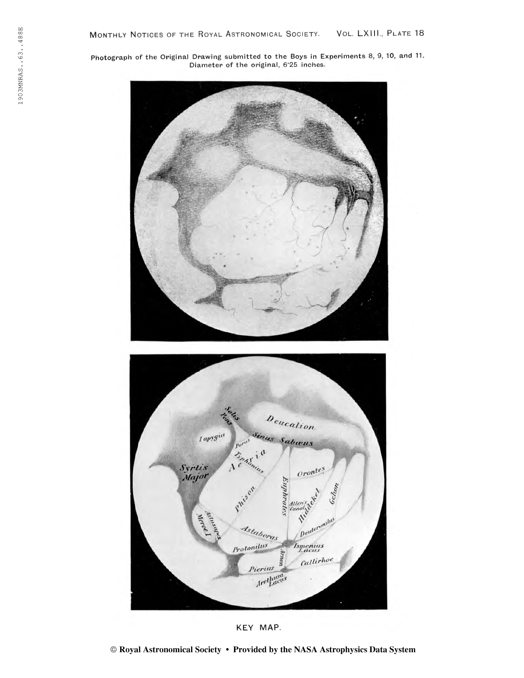Photograph of the Original Drawing submitted to the Boys in Experiments 8, 9, 10, and 11. Diameter of the original, 6'25 inches.



KEY MAP.

© Royal Astronomical Society • Provided by the NASA Astrophysics Data System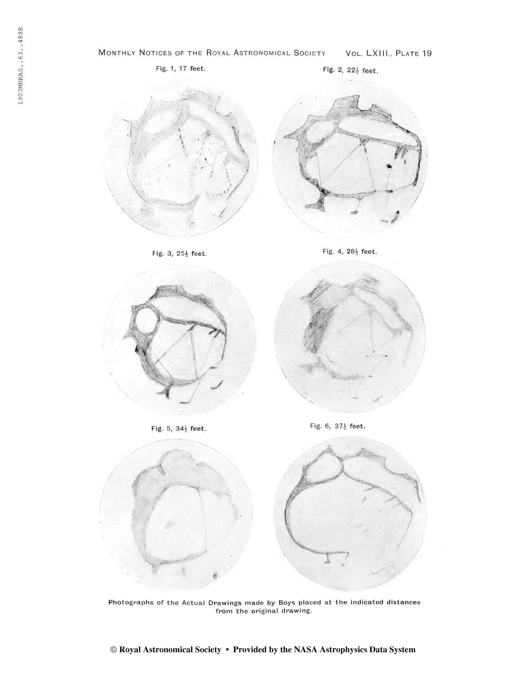

Photographs of the Actual Drawings made by Boys placed at the indicated distances from the original drawing.

© Royal Astronomical Society • Provided by the NASA Astrophysics Data System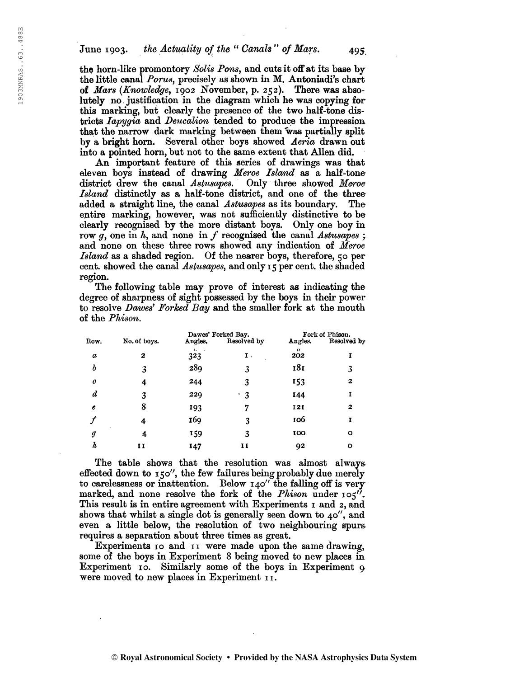June 1903. the Actuality of the " Canals" of Mars.  $495$ 

the horn-like promontory Solis Pons, and cuts it off at its base by the little canal Porus, precisely as shown in M. Antoniadi's chart of Mars (Knowledge, 1902 November, p. 252). There was absolutely no. justification in the diagram which he was copying for this marking, but clearly the presence of the two half-tone districts *Iapygia* and *Deucalion* tended to produce the impression that the narrow dark marking between them was partially split by a bright horn. Several other boys showed Aeria drawn out into a pointed horn, but not to the same extent that Allen did.

An important feature of this series of drawings was that eleven boys instead of drawing Meroe Island as a half-tone district drew the canal Astusapes. Only three showed Meroe district drew the canal Astusapes. Island distinctly as a half-tone district, and one of the three added a straight line, the canal Astusapes as its boundary. The entire marking, however, was not sufficiently distinctive to be clearly recognised by the more distant boys. Only one boy in row  $g$ , one in  $h$ , and none in  $f$  recognised the canal Astusapes; and none on these three rows showed any indication of Meroe Island as a shaded region. Of the nearer boys, therefore, 50 per cent, showed the canal Astusapes, and only 15 per cent, the shaded region.

The following table may prove of interest as indicating the degree of sharpness of sight possessed by the boys in their power to resolve *Dawes' Forked Bay* and the smaller fork at the mouth of the Phison.

|                  |              |                     | Dawes' Forked Bay. | Fork of Phison.          |             |
|------------------|--------------|---------------------|--------------------|--------------------------|-------------|
| Row.             | No. of boys. | Angles.             | Resolved by        | Angles.                  | Resolved by |
| $\boldsymbol{a}$ | 2            | $\mathbf{r}$<br>323 | $\mathbf{I}$ .     | $^{\prime\prime}$<br>202 |             |
| ь                | 3            | 289                 | 3                  | 181                      | 3           |
| o                | 4            | 244                 | 3                  | 153                      | 2           |
| d                | 3            | 229                 | 3                  | 144                      |             |
| e                | 8            | 193                 | 7                  | 121                      | 2           |
|                  | 4            | 169                 | 3                  | 106                      |             |
| g                | 4            | 159                 | 3                  | 100                      | О           |
| h                | 11           | 147                 | 11                 | 92                       | О           |

The table shows that the resolution was almost always effected down to 150", the few failures being probably due merely to carelessness or inattention. Below 140" the falling off is very marked, and none resolve the fork of the *Phison* under  $105$ . This result is in entire agreement with Experiments <sup>1</sup> and 2, and shows that whilst a single dot is generally seen down to  $40''$ , and even a little below, the resolution of two neighbouring spurs requires a separation about three times as great.

Experiments 10 and 11 were made upon the same drawing, some of the boys in Experiment 8 being moved to new places in Experiment 10. Similarly some of the boys in Experiment 9 were moved to new places in Experiment 11.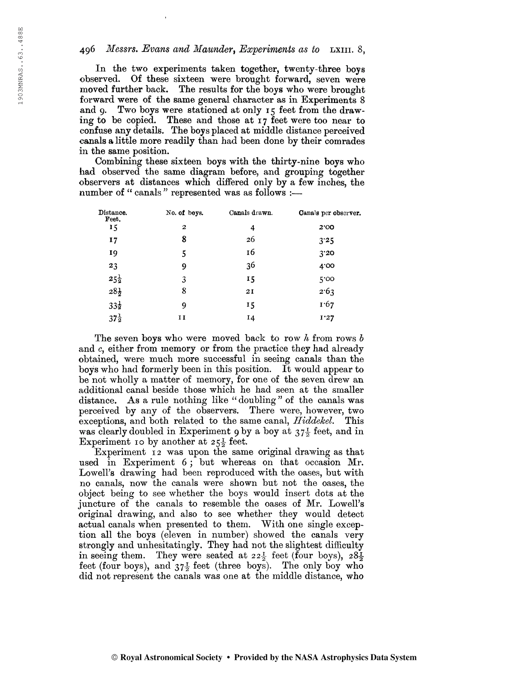### 496 Messrs. Evans and Maunder, Experiments as to  $\Delta x$ IIII. 8,

In the two experiments taken together, twenty-three boys observed. Of these sixteen were brought forward, seven were moved further back. The results for the boys who were brought forward were of the same general character as in Experiments 8 and 9. Two boys were stationed at only 15 feet from the drawing to be copied. These and those at 17 feet were too near to confuse any details. The boys placed at middle distance perceived canals a little more readily than had been done by their comrades in the same position.

Combining these sixteen boys with the thirty-nine boys who had observed the same diagram before, and grouping together observers at distances which differed only by a few inches, the number of " canals " represented was as follows :-

| Distance.<br>Feet. | No. of boys.     | Canals drawn. | Canals per observer. |
|--------------------|------------------|---------------|----------------------|
| 15                 | $\boldsymbol{2}$ | 4             | 2'00                 |
| 17                 | 8                | 26            | 3'25                 |
| 19                 | 5                | 16            | 3'20                 |
| 23                 | 9                | 36            | 4.00                 |
| $25\frac{1}{2}$    | 3                | 15            | 5'00                 |
| $28\frac{1}{2}$    | 8                | 2I            | 2.63                 |
| $33\frac{1}{2}$    | 9                | 15            | 1.67                 |
| $37\frac{1}{2}$    | 11               | $I_4$         | 1:27                 |

The seven boys who were moved back to row h from rows b and c, either from memory or from the practice they had already obtained, were much more successful in seeing canals than the boys who had formerly been in this position. It would appear to be not wholly a matter of memory, for one of the seven drew an additional canal beside those which he had seen at the smaller distance. As a rule nothing like " doubling " of the canals was perceived by any of the observers. There were, however, two exceptions, and both related to the same canal, Hiddekel. This was clearly doubled in Experiment 9 by a boy at  $37\frac{1}{2}$  feet, and in Experiment 10 by another at  $25\frac{1}{2}$  feet.

Experiment 12 was upon the same original drawing as that used in Experiment 6 ; but whereas on that occasion Mr. Lowell's drawing had been reproduced with the oases, but with no canals, now the canals were shown but not the oases, the object being to see whether the boys would insert dots at the juncture of the canals to resemble the oases of Mr. Lowell's original drawing, and also to see whether they would detect actual canals when presented to them. With one single exception all the boys (eleven in number) showed the canals very strongly and unhesitatingly. They had not the slightest difficulty in seeing them. They were seated at  $22\frac{1}{2}$  feet (four boys),  $28\frac{1}{2}$ feet (four boys), and  $37\frac{1}{2}$  feet (three boys). The only boy who did not represent the canals was one at the middle distance, who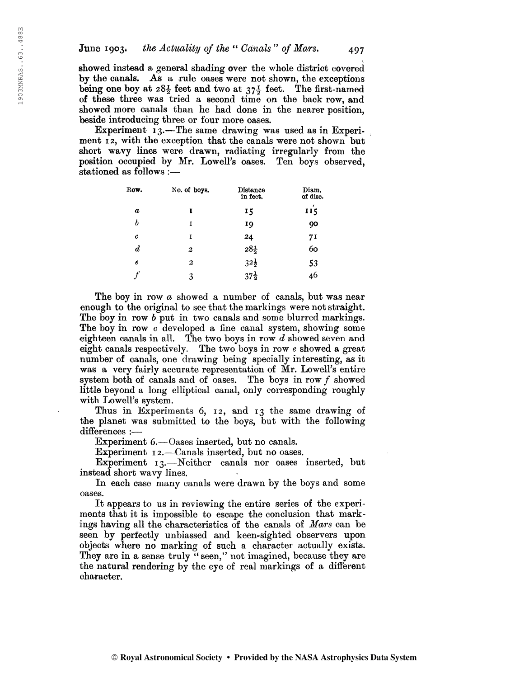showed instead a general shading over the whole district covered by the canals. As a rule oases were not shown, the exceptions being one boy at  $28\frac{1}{2}$  feet and two at  $37\frac{1}{2}$  feet. The first-named of these three was tried a second time on the back row, and showed more canals than he had done in the nearer position, beside introducing three or four more oases.

Experiment 13.—The same drawing was used as in Experiment 12, with the exception that the canals were not shown but short wavy lines were drawn, radiating irregularly from the position occupied by Mr. Lowell's oases. Ten boys observed, stationed as follows :—

| Row.             | No. of boys. | Distance<br>in feet. | Diam.<br>of disc. |
|------------------|--------------|----------------------|-------------------|
| a                | r            | 15                   | $\epsilon$<br>115 |
| b                | 1            | 19                   | 90                |
| $\boldsymbol{c}$ | 1            | 24                   | 71                |
| ď                | 2            | $28\frac{1}{2}$      | 60                |
| e                | 2            | $32\frac{1}{2}$      | 53                |
|                  | 3            | $37\frac{1}{2}$      | 46                |

The boy in row a showed a number of canals, but was near enough to the original to see that the markings were not straight. The boy in row b put in two canals and some blurred markings. The boy in row c developed a fine canal system, showing some eighteen canals in all. The two boys in row  $d$  showed seven and eight canals respectively. The two boys in row e showed a great number of canals, one drawing being specially interesting, as it was a very fairly accurate representation of Mr. Lowell's entire system both of canals and of oases. The boys in row  $f$  showed little beyond a long elliptical canal, only corresponding roughly with Lowell's system.

Thus in Experiments 6, 12, and 13 the same drawing of the planet was submitted to the boys, but with the following differences :—

Experiment 6.—Oases inserted, but no canals.

Experiment 12.—Canals inserted, but no oases.

Experiment 13.—Neither canals nor oases inserted, but instead short wavy lines.

In each case many canals were drawn by the boys and some oases.

It appears to us in reviewing the entire series of the experiments that it is impossible to escape the conclusion that markings having all the characteristics of the canals of Mars can be seen by perfectly unbiassed and keen-sighted observers upon objects where no marking of such a character actually exists. They are in a sense truly " seen," not imagined, because they are the natural rendering by the eye of real markings of a different character.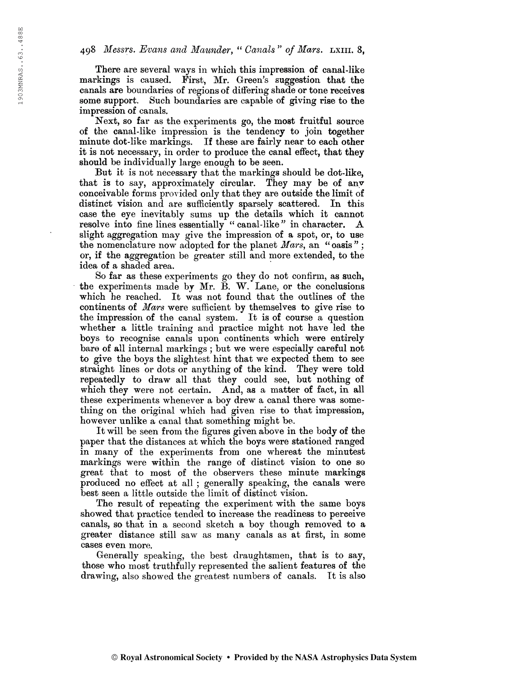There are several ways in which this impression of canal-like markings is caused. First, Mr. Green's suggestion that the canals are boundaries of regions of ditfering shade or tone receives some support. Such boundaries are capable of giving rise to the impression of canals.

Next, so far as the experiments go, the most fruitful source of the canal-like impression is the tendency to join together minute dot-like markings. If these are fairly near to each other it is not necessary, in order to produce the canal effect, that they should be individually large enough to be seen.

But it is not necessary that the markings should be dot-like, that is to say, approximately circular. They may be of any conceivable forms provided only that they are outside the limit of distinct vision and are sufficiently sparsely scattered. In this case the eye inevitably sums up the details which it cannot resolve into fine lines essentially "canal-like" in character. A slight aggregation may give the impression of a spot, or, to use the nomenclature now adopted for the planet  $Mars$ , an "oasis"; or, if the aggregation be greater still and more extended, to the idea of a shaded area.

So far as these experiments go they do not confirm, as such, the experiments made by Mr. B. W. Lane, or the conclusions which he reached. It was not found that the outlines of the continents of Mars were sufficient by themselves to give rise to the impression of the canal system. It is of course a question whether a little training and practice might not have led the boys to recognise canals upon continents which were entirely bare of all internal markings ; but we were especially careful not to give the boys the slightest hint that we expected them to see straight lines or dots or anything of the kind. They were told repeatedly to draw all that they could see, but nothing of which they were not certain. And, as a matter of fact, in all these experiments whenever a boy drew a canal there was something on the original which had given rise to that impression, however unlike a canal that something might be.

It will be seen from the figures given above in the body of the paper that the distances at which the boys were stationed ranged in many of the experiments from one whereat the minutest markings were within the range of distinct vision to one so great that to most of the observers these minute markings produced no effect at all ; generally speaking, the canals were best seen a little outside the limit of distinct vision.

The result of repeating the experiment with the same boys showed that practice tended to increase the readiness to perceive canals, so that in a second sketch a boy though removed to a greater distance still saw as many canals as at first, in some cases even more.

Generally speaking, the best draughtsmen, that is to say, those who most truthfully represented the salient features of the drawing, also showed the greatest numbers of canals. It is also